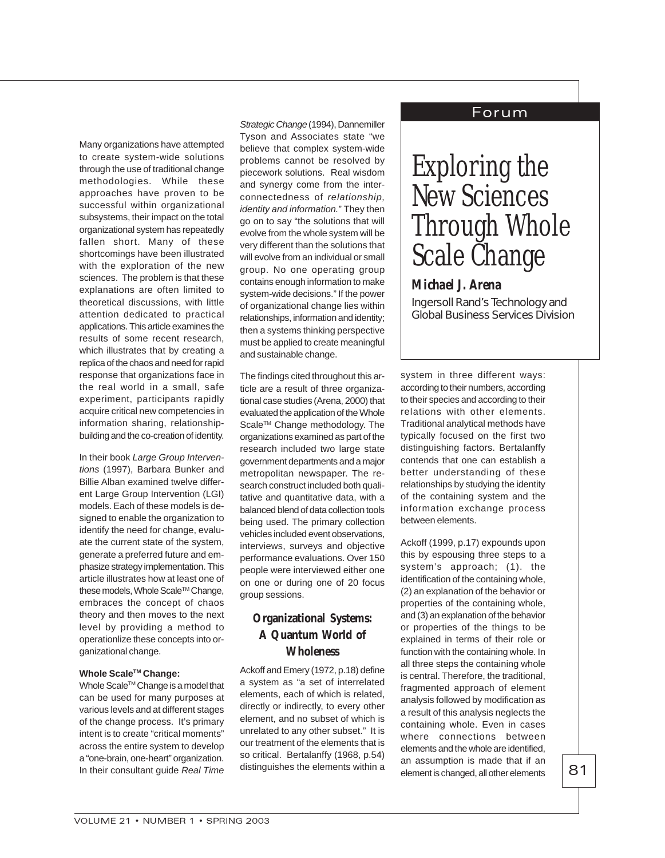# Forum

Many organizations have attempted to create system-wide solutions through the use of traditional change methodologies. While these approaches have proven to be successful within organizational subsystems, their impact on the total organizational system has repeatedly fallen short. Many of these shortcomings have been illustrated with the exploration of the new sciences. The problem is that these explanations are often limited to theoretical discussions, with little attention dedicated to practical applications. This article examines the results of some recent research, which illustrates that by creating a replica of the chaos and need for rapid response that organizations face in the real world in a small, safe experiment, participants rapidly acquire critical new competencies in information sharing, relationshipbuilding and the co-creation of identity.

In their book Large Group Interventions (1997), Barbara Bunker and Billie Alban examined twelve different Large Group Intervention (LGI) models. Each of these models is designed to enable the organization to identify the need for change, evaluate the current state of the system, generate a preferred future and emphasize strategy implementation. This article illustrates how at least one of these models, Whole Scale™ Change, embraces the concept of chaos theory and then moves to the next level by providing a method to operationlize these concepts into organizational change.

### **Whole ScaleTM Change:**

Whole Scale™ Change is a model that can be used for many purposes at various levels and at different stages of the change process. It's primary intent is to create "critical moments" across the entire system to develop a "one-brain, one-heart" organization. In their consultant guide Real Time

Strategic Change (1994), Dannemiller Tyson and Associates state "we believe that complex system-wide problems cannot be resolved by piecework solutions. Real wisdom and synergy come from the interconnectedness of relationship, identity and information." They then go on to say "the solutions that will evolve from the whole system will be very different than the solutions that will evolve from an individual or small group. No one operating group contains enough information to make system-wide decisions." If the power of organizational change lies within relationships, information and identity; then a systems thinking perspective must be applied to create meaningful and sustainable change.

The findings cited throughout this article are a result of three organizational case studies (Arena, 2000) that evaluated the application of the Whole Scale<sup>™</sup> Change methodology. The organizations examined as part of the research included two large state government departments and a major metropolitan newspaper. The research construct included both qualitative and quantitative data, with a balanced blend of data collection tools being used. The primary collection vehicles included event observations, interviews, surveys and objective performance evaluations. Over 150 people were interviewed either one on one or during one of 20 focus group sessions.

# **Organizational Systems: A Quantum World of Wholeness**

Ackoff and Emery (1972, p.18) define a system as "a set of interrelated elements, each of which is related, directly or indirectly, to every other element, and no subset of which is unrelated to any other subset." It is our treatment of the elements that is so critical. Bertalanffy (1968, p.54) distinguishes the elements within a

# Exploring the New Sciences Through Whole Scale Change

# *Michael J. Arena*

Ingersoll Rand's Technology and Global Business Services Division

system in three different ways: according to their numbers, according to their species and according to their relations with other elements. Traditional analytical methods have typically focused on the first two distinguishing factors. Bertalanffy contends that one can establish a better understanding of these relationships by studying the identity of the containing system and the information exchange process between elements.

Ackoff (1999, p.17) expounds upon this by espousing three steps to a system's approach; (1). the identification of the containing whole, (2) an explanation of the behavior or properties of the containing whole, and (3) an explanation of the behavior or properties of the things to be explained in terms of their role or function with the containing whole. In all three steps the containing whole is central. Therefore, the traditional, fragmented approach of element analysis followed by modification as a result of this analysis neglects the containing whole. Even in cases where connections between elements and the whole are identified, an assumption is made that if an element is changed, all other elements

VOLUME 21 • NUMBER 1 • SPRING 2003

81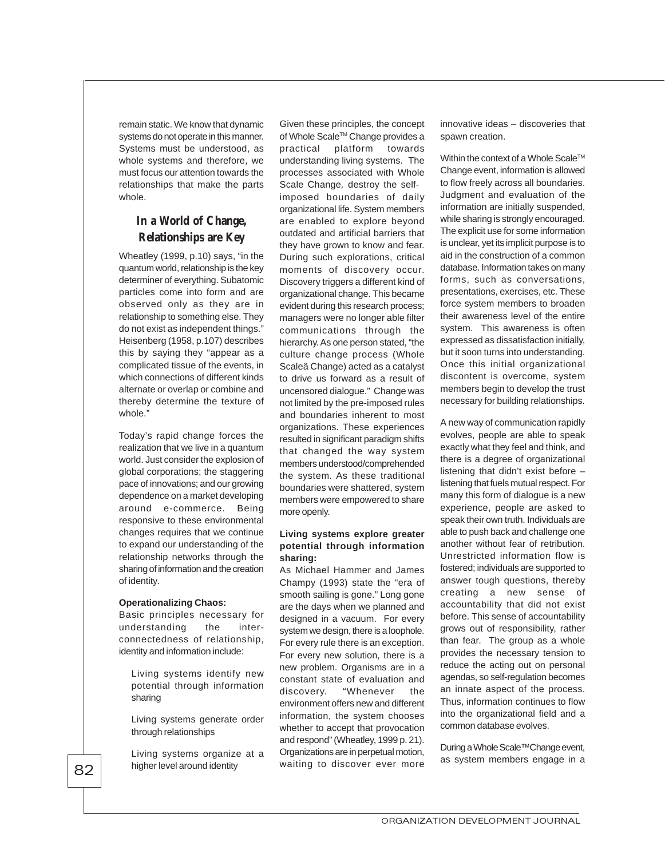remain static. We know that dynamic systems do not operate in this manner. Systems must be understood, as whole systems and therefore, we must focus our attention towards the relationships that make the parts whole.

# **In a World of Change, Relationships are Key**

Wheatley (1999, p.10) says, "in the quantum world, relationship is the key determiner of everything. Subatomic particles come into form and are observed only as they are in relationship to something else. They do not exist as independent things." Heisenberg (1958, p.107) describes this by saying they "appear as a complicated tissue of the events, in which connections of different kinds alternate or overlap or combine and thereby determine the texture of whole."

Today's rapid change forces the realization that we live in a quantum world. Just consider the explosion of global corporations; the staggering pace of innovations; and our growing dependence on a market developing around e-commerce. Being responsive to these environmental changes requires that we continue to expand our understanding of the relationship networks through the sharing of information and the creation of identity.

#### **Operationalizing Chaos:**

Basic principles necessary for understanding the interconnectedness of relationship, identity and information include:

Living systems identify new potential through information sharing

Living systems generate order through relationships

Living systems organize at a higher level around identity

Given these principles, the concept of Whole Scale™ Change provides a practical platform towards understanding living systems. The processes associated with Whole Scale Change, destroy the selfimposed boundaries of daily organizational life. System members are enabled to explore beyond outdated and artificial barriers that they have grown to know and fear. During such explorations, critical moments of discovery occur. Discovery triggers a different kind of organizational change. This became evident during this research process; managers were no longer able filter communications through the hierarchy. As one person stated, "the culture change process (Whole Scaleä Change) acted as a catalyst to drive us forward as a result of uncensored dialogue." Change was not limited by the pre-imposed rules and boundaries inherent to most organizations. These experiences resulted in significant paradigm shifts that changed the way system members understood/comprehended the system. As these traditional boundaries were shattered, system members were empowered to share more openly.

## **Living systems explore greater potential through information sharing:**

As Michael Hammer and James Champy (1993) state the "era of smooth sailing is gone." Long gone are the days when we planned and designed in a vacuum. For every system we design, there is a loophole. For every rule there is an exception. For every new solution, there is a new problem. Organisms are in a constant state of evaluation and discovery. "Whenever the environment offers new and different information, the system chooses whether to accept that provocation and respond" (Wheatley, 1999 p. 21). Organizations are in perpetual motion, waiting to discover ever more

innovative ideas – discoveries that spawn creation.

Within the context of a Whole Scale™ Change event, information is allowed to flow freely across all boundaries. Judgment and evaluation of the information are initially suspended, while sharing is strongly encouraged. The explicit use for some information is unclear, yet its implicit purpose is to aid in the construction of a common database. Information takes on many forms, such as conversations, presentations, exercises, etc. These force system members to broaden their awareness level of the entire system. This awareness is often expressed as dissatisfaction initially, but it soon turns into understanding. Once this initial organizational discontent is overcome, system members begin to develop the trust necessary for building relationships.

A new way of communication rapidly evolves, people are able to speak exactly what they feel and think, and there is a degree of organizational listening that didn't exist before – listening that fuels mutual respect. For many this form of dialogue is a new experience, people are asked to speak their own truth. Individuals are able to push back and challenge one another without fear of retribution. Unrestricted information flow is fostered; individuals are supported to answer tough questions, thereby creating a new sense of accountability that did not exist before. This sense of accountability grows out of responsibility, rather than fear. The group as a whole provides the necessary tension to reduce the acting out on personal agendas, so self-regulation becomes an innate aspect of the process. Thus, information continues to flow into the organizational field and a common database evolves.

During a Whole Scale™Change event, as system members engage in a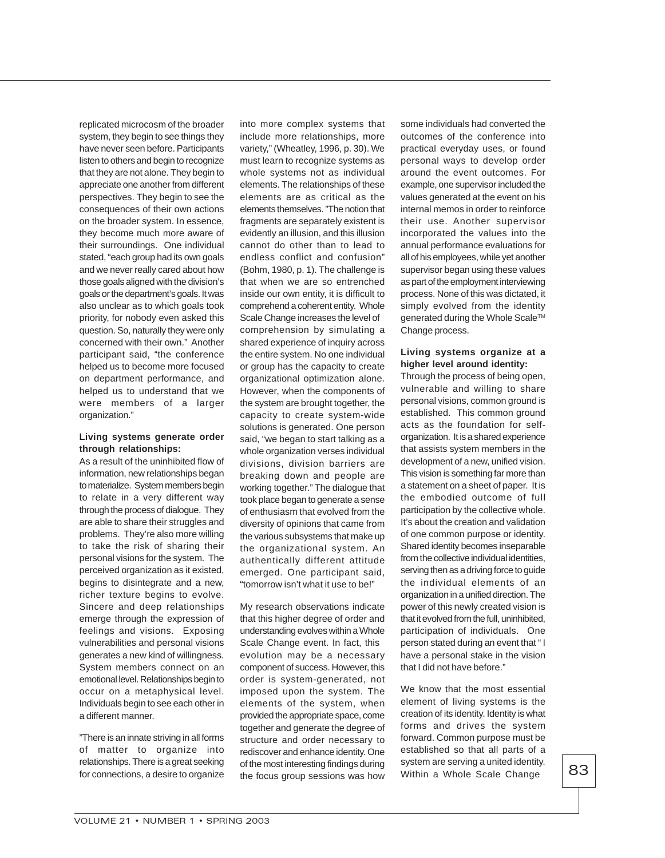replicated microcosm of the broader system, they begin to see things they have never seen before. Participants listen to others and begin to recognize that they are not alone. They begin to appreciate one another from different perspectives. They begin to see the consequences of their own actions on the broader system. In essence, they become much more aware of their surroundings. One individual stated, "each group had its own goals and we never really cared about how those goals aligned with the division's goals or the department's goals. It was also unclear as to which goals took priority, for nobody even asked this question. So, naturally they were only concerned with their own." Another participant said, "the conference helped us to become more focused on department performance, and helped us to understand that we were members of a larger organization."

# **Living systems generate order through relationships:**

As a result of the uninhibited flow of information, new relationships began to materialize. System members begin to relate in a very different way through the process of dialogue. They are able to share their struggles and problems. They're also more willing to take the risk of sharing their personal visions for the system. The perceived organization as it existed, begins to disintegrate and a new, richer texture begins to evolve. Sincere and deep relationships emerge through the expression of feelings and visions. Exposing vulnerabilities and personal visions generates a new kind of willingness. System members connect on an emotional level. Relationships begin to occur on a metaphysical level. Individuals begin to see each other in a different manner.

"There is an innate striving in all forms of matter to organize into relationships. There is a great seeking for connections, a desire to organize

into more complex systems that include more relationships, more variety," (Wheatley, 1996, p. 30). We must learn to recognize systems as whole systems not as individual elements. The relationships of these elements are as critical as the elements themselves. "The notion that fragments are separately existent is evidently an illusion, and this illusion cannot do other than to lead to endless conflict and confusion" (Bohm, 1980, p. 1). The challenge is that when we are so entrenched inside our own entity, it is difficult to comprehend a coherent entity. Whole Scale Change increases the level of comprehension by simulating a shared experience of inquiry across the entire system. No one individual or group has the capacity to create organizational optimization alone. However, when the components of the system are brought together, the capacity to create system-wide solutions is generated. One person said, "we began to start talking as a whole organization verses individual divisions, division barriers are breaking down and people are working together." The dialogue that took place began to generate a sense of enthusiasm that evolved from the diversity of opinions that came from the various subsystems that make up the organizational system. An authentically different attitude emerged. One participant said, "tomorrow isn't what it use to be!"

My research observations indicate that this higher degree of order and understanding evolves within a Whole Scale Change event. In fact, this evolution may be a necessary component of success. However, this order is system-generated, not imposed upon the system. The elements of the system, when provided the appropriate space, come together and generate the degree of structure and order necessary to rediscover and enhance identity. One of the most interesting findings during the focus group sessions was how

some individuals had converted the outcomes of the conference into practical everyday uses, or found personal ways to develop order around the event outcomes. For example, one supervisor included the values generated at the event on his internal memos in order to reinforce their use. Another supervisor incorporated the values into the annual performance evaluations for all of his employees, while yet another supervisor began using these values as part of the employment interviewing process. None of this was dictated, it simply evolved from the identity generated during the Whole Scale™ Change process.

## **Living systems organize at a higher level around identity:**

Through the process of being open, vulnerable and willing to share personal visions, common ground is established. This common ground acts as the foundation for selforganization. It is a shared experience that assists system members in the development of a new, unified vision. This vision is something far more than a statement on a sheet of paper. It is the embodied outcome of full participation by the collective whole. It's about the creation and validation of one common purpose or identity. Shared identity becomes inseparable from the collective individual identities, serving then as a driving force to guide the individual elements of an organization in a unified direction. The power of this newly created vision is that it evolved from the full, uninhibited, participation of individuals. One person stated during an event that " I have a personal stake in the vision that I did not have before."

We know that the most essential element of living systems is the creation of its identity. Identity is what forms and drives the system forward. Common purpose must be established so that all parts of a system are serving a united identity. Within a Whole Scale Change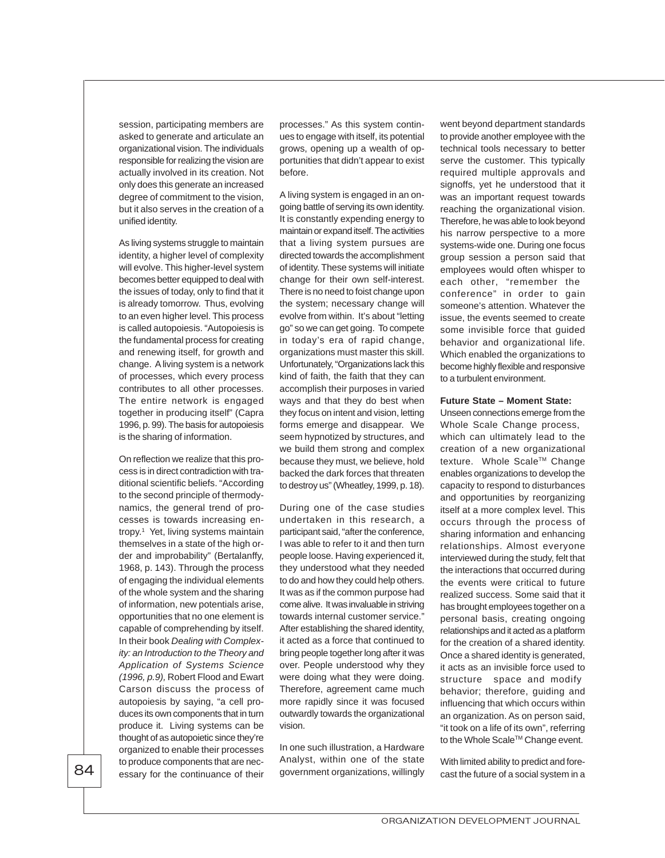session, participating members are asked to generate and articulate an organizational vision. The individuals responsible for realizing the vision are actually involved in its creation. Not only does this generate an increased degree of commitment to the vision, but it also serves in the creation of a unified identity.

As living systems struggle to maintain identity, a higher level of complexity will evolve. This higher-level system becomes better equipped to deal with the issues of today, only to find that it is already tomorrow. Thus, evolving to an even higher level. This process is called autopoiesis. "Autopoiesis is the fundamental process for creating and renewing itself, for growth and change. A living system is a network of processes, which every process contributes to all other processes. The entire network is engaged together in producing itself" (Capra 1996, p. 99). The basis for autopoiesis is the sharing of information.

On reflection we realize that this process is in direct contradiction with traditional scientific beliefs. "According to the second principle of thermodynamics, the general trend of processes is towards increasing entropy.1 Yet, living systems maintain themselves in a state of the high order and improbability" (Bertalanffy, 1968, p. 143). Through the process of engaging the individual elements of the whole system and the sharing of information, new potentials arise, opportunities that no one element is capable of comprehending by itself. In their book Dealing with Complexity: an Introduction to the Theory and Application of Systems Science (1996, p.9), Robert Flood and Ewart Carson discuss the process of autopoiesis by saying, "a cell produces its own components that in turn produce it. Living systems can be thought of as autopoietic since they're organized to enable their processes to produce components that are necessary for the continuance of their

processes." As this system continues to engage with itself, its potential grows, opening up a wealth of opportunities that didn't appear to exist before.

A living system is engaged in an ongoing battle of serving its own identity. It is constantly expending energy to maintain or expand itself. The activities that a living system pursues are directed towards the accomplishment of identity. These systems will initiate change for their own self-interest. There is no need to foist change upon the system; necessary change will evolve from within. It's about "letting go" so we can get going. To compete in today's era of rapid change, organizations must master this skill. Unfortunately, "Organizations lack this kind of faith, the faith that they can accomplish their purposes in varied ways and that they do best when they focus on intent and vision, letting forms emerge and disappear. We seem hypnotized by structures, and we build them strong and complex because they must, we believe, hold backed the dark forces that threaten to destroy us" (Wheatley, 1999, p. 18).

During one of the case studies undertaken in this research, a participant said, "after the conference, I was able to refer to it and then turn people loose. Having experienced it, they understood what they needed to do and how they could help others. It was as if the common purpose had come alive. It was invaluable in striving towards internal customer service." After establishing the shared identity, it acted as a force that continued to bring people together long after it was over. People understood why they were doing what they were doing. Therefore, agreement came much more rapidly since it was focused outwardly towards the organizational vision.

In one such illustration, a Hardware Analyst, within one of the state government organizations, willingly went beyond department standards to provide another employee with the technical tools necessary to better serve the customer. This typically required multiple approvals and signoffs, yet he understood that it was an important request towards reaching the organizational vision. Therefore, he was able to look beyond his narrow perspective to a more systems-wide one. During one focus group session a person said that employees would often whisper to each other, "remember the conference" in order to gain someone's attention. Whatever the issue, the events seemed to create some invisible force that guided behavior and organizational life. Which enabled the organizations to become highly flexible and responsive to a turbulent environment.

## **Future State – Moment State:**

Unseen connections emerge from the Whole Scale Change process, which can ultimately lead to the creation of a new organizational texture. Whole Scale™ Change enables organizations to develop the capacity to respond to disturbances and opportunities by reorganizing itself at a more complex level. This occurs through the process of sharing information and enhancing relationships. Almost everyone interviewed during the study, felt that the interactions that occurred during the events were critical to future realized success. Some said that it has brought employees together on a personal basis, creating ongoing relationships and it acted as a platform for the creation of a shared identity. Once a shared identity is generated, it acts as an invisible force used to structure space and modify behavior; therefore, guiding and influencing that which occurs within an organization. As on person said, "it took on a life of its own", referring to the Whole Scale™ Change event.

With limited ability to predict and forecast the future of a social system in a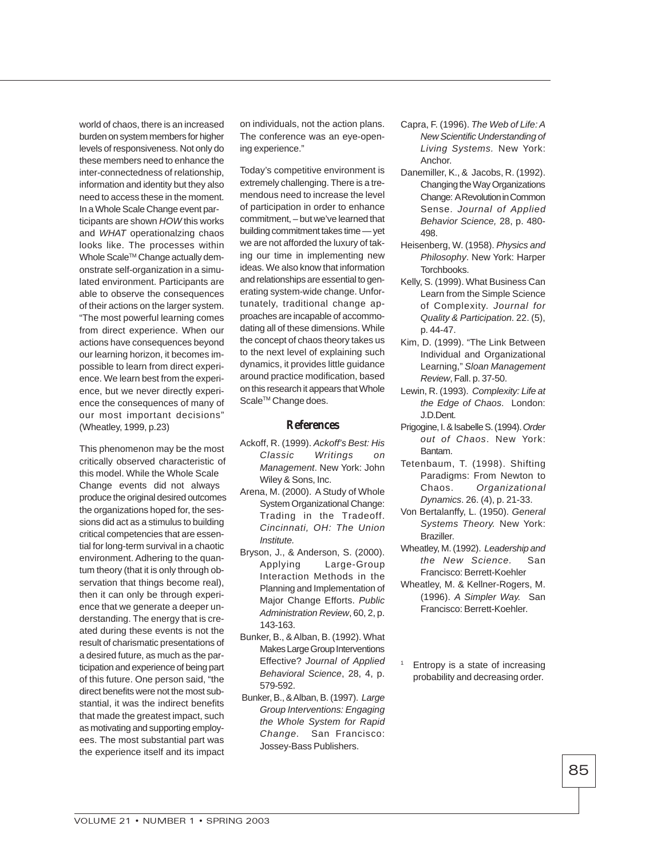world of chaos, there is an increased burden on system members for higher levels of responsiveness. Not only do these members need to enhance the inter-connectedness of relationship, information and identity but they also need to access these in the moment. In a Whole Scale Change event participants are shown HOW this works and WHAT operationalzing chaos looks like. The processes within Whole Scale™ Change actually demonstrate self-organization in a simulated environment. Participants are able to observe the consequences of their actions on the larger system. "The most powerful learning comes from direct experience. When our actions have consequences beyond our learning horizon, it becomes impossible to learn from direct experience. We learn best from the experience, but we never directly experience the consequences of many of our most important decisions" (Wheatley, 1999, p.23)

This phenomenon may be the most critically observed characteristic of this model. While the Whole Scale Change events did not always produce the original desired outcomes the organizations hoped for, the sessions did act as a stimulus to building critical competencies that are essential for long-term survival in a chaotic environment. Adhering to the quantum theory (that it is only through observation that things become real), then it can only be through experience that we generate a deeper understanding. The energy that is created during these events is not the result of charismatic presentations of a desired future, as much as the participation and experience of being part of this future. One person said, "the direct benefits were not the most substantial, it was the indirect benefits that made the greatest impact, such as motivating and supporting employees. The most substantial part was the experience itself and its impact

on individuals, not the action plans. The conference was an eye-opening experience."

Today's competitive environment is extremely challenging. There is a tremendous need to increase the level of participation in order to enhance commitment, – but we've learned that building commitment takes time — yet we are not afforded the luxury of taking our time in implementing new ideas. We also know that information and relationships are essential to generating system-wide change. Unfortunately, traditional change approaches are incapable of accommodating all of these dimensions. While the concept of chaos theory takes us to the next level of explaining such dynamics, it provides little guidance around practice modification, based on this research it appears that Whole Scale<sup>™</sup> Change does.

## **References**

- Ackoff, R. (1999). Ackoff's Best: His Classic Writings on Management. New York: John Wiley & Sons, Inc.
- Arena, M. (2000). A Study of Whole System Organizational Change: Trading in the Tradeoff. Cincinnati, OH: The Union Institute.
- Bryson, J., & Anderson, S. (2000). Applying Large-Group Interaction Methods in the Planning and Implementation of Major Change Efforts. Public Administration Review, 60, 2, p. 143-163.
- Bunker, B., & Alban, B. (1992). What Makes Large Group Interventions Effective? Journal of Applied Behavioral Science, 28, 4, p. 579-592.
- Bunker, B., & Alban, B. (1997). Large Group Interventions: Engaging the Whole System for Rapid Change. San Francisco: Jossey-Bass Publishers.
- Capra, F. (1996). The Web of Life: A New Scientific Understanding of Living Systems. New York: Anchor.
- Danemiller, K., & Jacobs, R. (1992). Changing the Way Organizations Change: A Revolution in Common Sense. Journal of Applied Behavior Science, 28, p. 480- 498.
- Heisenberg, W. (1958). Physics and Philosophy. New York: Harper Torchbooks.
- Kelly, S. (1999). What Business Can Learn from the Simple Science of Complexity. Journal for Quality & Participation. 22. (5), p. 44-47.
- Kim, D. (1999). "The Link Between Individual and Organizational Learning," Sloan Management Review, Fall. p. 37-50.
- Lewin, R. (1993). Complexity: Life at the Edge of Chaos. London: J.D.Dent.
- Prigogine, I. & Isabelle S. (1994). Order out of Chaos. New York: Bantam.
- Tetenbaum, T. (1998). Shifting Paradigms: From Newton to Chaos. Organizational Dynamics. 26. (4), p. 21-33.
- Von Bertalanffy, L. (1950). General Systems Theory. New York: Braziller.
- Wheatley, M. (1992). Leadership and the New Science. San Francisco: Berrett-Koehler
- Wheatley, M. & Kellner-Rogers, M. (1996). A Simpler Way. San Francisco: Berrett-Koehler.
- Entropy is a state of increasing probability and decreasing order.